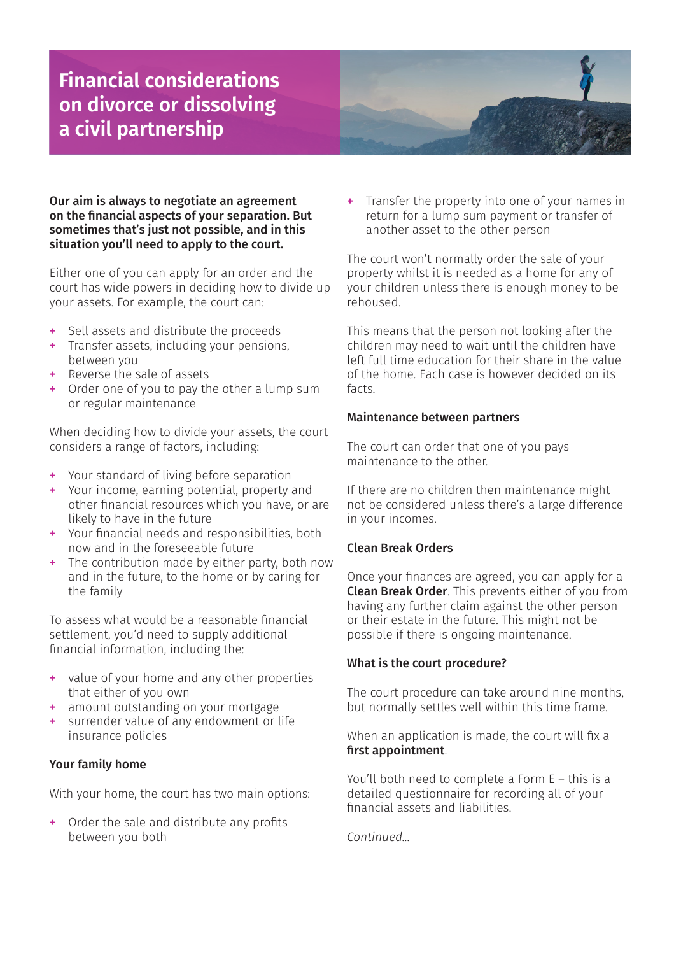## **Financial considerations on divorce or dissolving a civil partnership**



#### Our aim is always to negotiate an agreement on the financial aspects of your separation. But sometimes that's just not possible, and in this situation you'll need to apply to the court.

Either one of you can apply for an order and the court has wide powers in deciding how to divide up your assets. For example, the court can:

- **+** Sell assets and distribute the proceeds
- **+** Transfer assets, including your pensions, between you
- **+** Reverse the sale of assets
- **+** Order one of you to pay the other a lump sum or regular maintenance

When deciding how to divide your assets, the court considers a range of factors, including:

- **+** Your standard of living before separation
- **+** Your income, earning potential, property and other financial resources which you have, or are likely to have in the future
- **+** Your financial needs and responsibilities, both now and in the foreseeable future
- **+** The contribution made by either party, both now and in the future, to the home or by caring for the family

To assess what would be a reasonable financial settlement, you'd need to supply additional financial information, including the:

- **+** value of your home and any other properties that either of you own
- **+** amount outstanding on your mortgage
- **+** surrender value of any endowment or life insurance policies

### Your family home

With your home, the court has two main options:

**+** Order the sale and distribute any profits between you both

**+** Transfer the property into one of your names in return for a lump sum payment or transfer of another asset to the other person

The court won't normally order the sale of your property whilst it is needed as a home for any of your children unless there is enough money to be rehoused.

This means that the person not looking after the children may need to wait until the children have left full time education for their share in the value of the home. Each case is however decided on its facts.

#### Maintenance between partners

The court can order that one of you pays maintenance to the other.

If there are no children then maintenance might not be considered unless there's a large difference in your incomes.

#### Clean Break Orders

Once your finances are agreed, you can apply for a Clean Break Order. This prevents either of you from having any further claim against the other person or their estate in the future. This might not be possible if there is ongoing maintenance.

#### What is the court procedure?

The court procedure can take around nine months, but normally settles well within this time frame.

When an application is made, the court will fix a first appointment.

You'll both need to complete a Form E – this is a detailed questionnaire for recording all of your financial assets and liabilities.

*Continued...*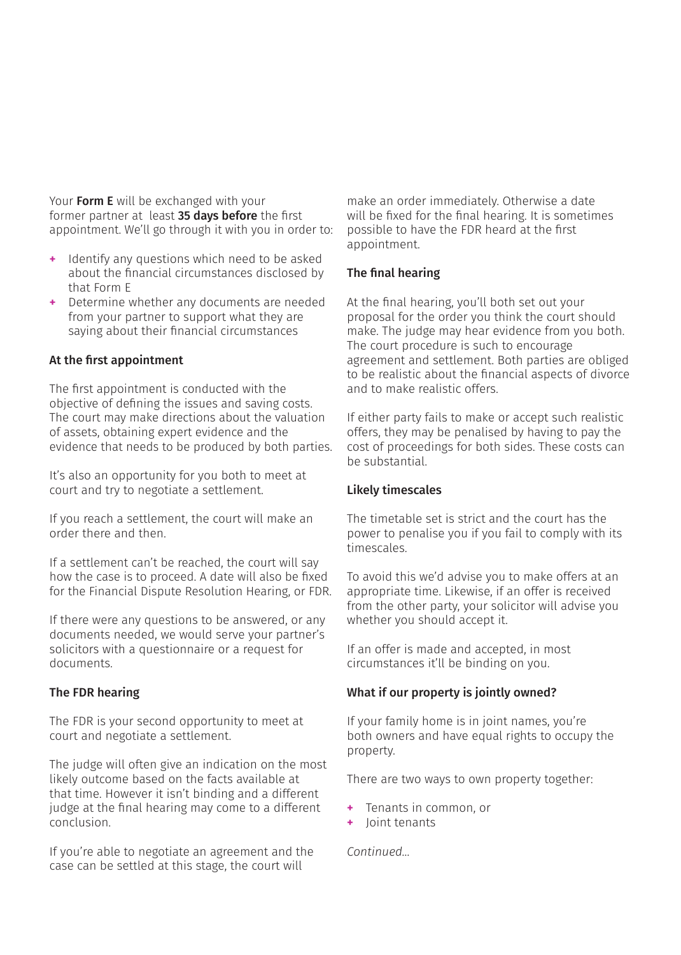Your Form E will be exchanged with your former partner at least 35 days before the first appointment. We'll go through it with you in order to:

- **+** Identify any questions which need to be asked about the financial circumstances disclosed by that Form E
- **+** Determine whether any documents are needed from your partner to support what they are saying about their financial circumstances

#### At the first appointment

The first appointment is conducted with the objective of defining the issues and saving costs. The court may make directions about the valuation of assets, obtaining expert evidence and the evidence that needs to be produced by both parties.

It's also an opportunity for you both to meet at court and try to negotiate a settlement.

If you reach a settlement, the court will make an order there and then.

If a settlement can't be reached, the court will say how the case is to proceed. A date will also be fixed for the Financial Dispute Resolution Hearing, or FDR.

If there were any questions to be answered, or any documents needed, we would serve your partner's solicitors with a questionnaire or a request for documents.

#### The FDR hearing

The FDR is your second opportunity to meet at court and negotiate a settlement.

The judge will often give an indication on the most likely outcome based on the facts available at that time. However it isn't binding and a different judge at the final hearing may come to a different conclusion.

If you're able to negotiate an agreement and the case can be settled at this stage, the court will

make an order immediately. Otherwise a date will be fixed for the final hearing. It is sometimes possible to have the FDR heard at the first appointment.

#### The final hearing

At the final hearing, you'll both set out your proposal for the order you think the court should make. The judge may hear evidence from you both. The court procedure is such to encourage agreement and settlement. Both parties are obliged to be realistic about the financial aspects of divorce and to make realistic offers.

If either party fails to make or accept such realistic offers, they may be penalised by having to pay the cost of proceedings for both sides. These costs can be substantial.

#### Likely timescales

The timetable set is strict and the court has the power to penalise you if you fail to comply with its timescales.

To avoid this we'd advise you to make offers at an appropriate time. Likewise, if an offer is received from the other party, your solicitor will advise you whether you should accept it.

If an offer is made and accepted, in most circumstances it'll be binding on you.

#### What if our property is jointly owned?

If your family home is in joint names, you're both owners and have equal rights to occupy the property.

There are two ways to own property together:

- **+** Tenants in common, or
- **+** Joint tenants

*Continued...*